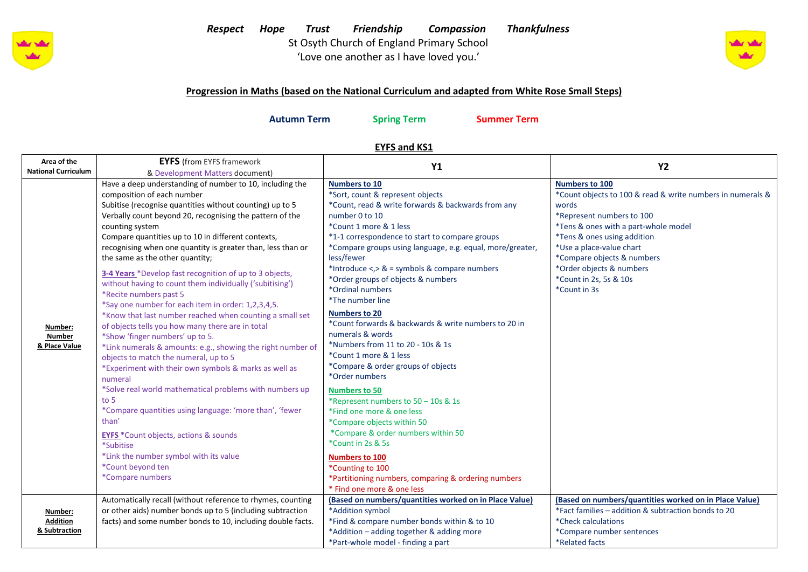

# *Respect Hope Trust Friendship Compassion Thankfulness*  St Osyth Church of England Primary School

'Love one another as I have loved you.'



### **Progression in Maths (based on the National Curriculum and adapted from White Rose Small Steps)**

**Autumn Term Spring Term Summer Term**

## **EYFS and KS1**

| Area of the                                 | <b>EYFS</b> (from EYFS framework                                                                                                                                                                                                                                                                                                                                                                                                                                                                                                                                                                                                                                                                                                                                                                                                                                                                                                                                                                                                                                                                                                                                                                                       | <b>Y1</b>                                                                                                                                                                                                                                                                                                                                                                                                                                                                                                                                                                                                                                                                                                                                                                                                                                                                          | <b>Y2</b>                                                                                                                                                                                                                                                                                                                        |  |
|---------------------------------------------|------------------------------------------------------------------------------------------------------------------------------------------------------------------------------------------------------------------------------------------------------------------------------------------------------------------------------------------------------------------------------------------------------------------------------------------------------------------------------------------------------------------------------------------------------------------------------------------------------------------------------------------------------------------------------------------------------------------------------------------------------------------------------------------------------------------------------------------------------------------------------------------------------------------------------------------------------------------------------------------------------------------------------------------------------------------------------------------------------------------------------------------------------------------------------------------------------------------------|------------------------------------------------------------------------------------------------------------------------------------------------------------------------------------------------------------------------------------------------------------------------------------------------------------------------------------------------------------------------------------------------------------------------------------------------------------------------------------------------------------------------------------------------------------------------------------------------------------------------------------------------------------------------------------------------------------------------------------------------------------------------------------------------------------------------------------------------------------------------------------|----------------------------------------------------------------------------------------------------------------------------------------------------------------------------------------------------------------------------------------------------------------------------------------------------------------------------------|--|
| <b>National Curriculum</b>                  | & Development Matters document)                                                                                                                                                                                                                                                                                                                                                                                                                                                                                                                                                                                                                                                                                                                                                                                                                                                                                                                                                                                                                                                                                                                                                                                        |                                                                                                                                                                                                                                                                                                                                                                                                                                                                                                                                                                                                                                                                                                                                                                                                                                                                                    |                                                                                                                                                                                                                                                                                                                                  |  |
| Number:<br><b>Number</b><br>& Place Value   | Have a deep understanding of number to 10, including the<br>composition of each number<br>Subitise (recognise quantities without counting) up to 5<br>Verbally count beyond 20, recognising the pattern of the<br>counting system<br>Compare quantities up to 10 in different contexts,<br>recognising when one quantity is greater than, less than or<br>the same as the other quantity;<br>3-4 Years *Develop fast recognition of up to 3 objects,<br>without having to count them individually ('subitising')<br>*Recite numbers past 5<br>*Say one number for each item in order: 1,2,3,4,5.<br>*Know that last number reached when counting a small set<br>of objects tells you how many there are in total<br>*Show 'finger numbers' up to 5.<br>*Link numerals & amounts: e.g., showing the right number of<br>objects to match the numeral, up to 5<br>*Experiment with their own symbols & marks as well as<br>numeral<br>*Solve real world mathematical problems with numbers up<br>to 5<br>*Compare quantities using language: 'more than', 'fewer<br>than'<br><b>EYFS</b> *Count objects, actions & sounds<br>*Subitise<br>*Link the number symbol with its value<br>*Count beyond ten<br>*Compare numbers | <b>Numbers to 10</b><br>*Sort, count & represent objects<br>*Count, read & write forwards & backwards from any<br>number 0 to 10<br>*Count 1 more & 1 less<br>*1-1 correspondence to start to compare groups<br>*Compare groups using language, e.g. equal, more/greater,<br>less/fewer<br>*Introduce <,> & = symbols & compare numbers<br>*Order groups of objects & numbers<br>*Ordinal numbers<br>*The number line<br><b>Numbers to 20</b><br>*Count forwards & backwards & write numbers to 20 in<br>numerals & words<br>*Numbers from 11 to 20 - 10s & 1s<br>*Count 1 more & 1 less<br>*Compare & order groups of objects<br>*Order numbers<br><b>Numbers to 50</b><br>*Represent numbers to 50 - 10s & 1s<br>*Find one more & one less<br>*Compare objects within 50<br>*Compare & order numbers within 50<br>*Count in 2s & 5s<br><b>Numbers to 100</b><br>*Counting to 100 | <b>Numbers to 100</b><br>*Count objects to 100 & read & write numbers in numerals &<br>words<br>*Represent numbers to 100<br>*Tens & ones with a part-whole model<br>*Tens & ones using addition<br>*Use a place-value chart<br>*Compare objects & numbers<br>*Order objects & numbers<br>*Count in 2s, 5s & 10s<br>*Count in 3s |  |
|                                             |                                                                                                                                                                                                                                                                                                                                                                                                                                                                                                                                                                                                                                                                                                                                                                                                                                                                                                                                                                                                                                                                                                                                                                                                                        | *Partitioning numbers, comparing & ordering numbers<br>* Find one more & one less                                                                                                                                                                                                                                                                                                                                                                                                                                                                                                                                                                                                                                                                                                                                                                                                  |                                                                                                                                                                                                                                                                                                                                  |  |
| Number:<br><b>Addition</b><br>& Subtraction | Automatically recall (without reference to rhymes, counting<br>or other aids) number bonds up to 5 (including subtraction<br>facts) and some number bonds to 10, including double facts.                                                                                                                                                                                                                                                                                                                                                                                                                                                                                                                                                                                                                                                                                                                                                                                                                                                                                                                                                                                                                               | (Based on numbers/quantities worked on in Place Value)<br>*Addition symbol<br>*Find & compare number bonds within & to 10<br>*Addition - adding together & adding more<br>*Part-whole model - finding a part                                                                                                                                                                                                                                                                                                                                                                                                                                                                                                                                                                                                                                                                       | (Based on numbers/quantities worked on in Place Value)<br>*Fact families - addition & subtraction bonds to 20<br>*Check calculations<br>*Compare number sentences<br>*Related facts                                                                                                                                              |  |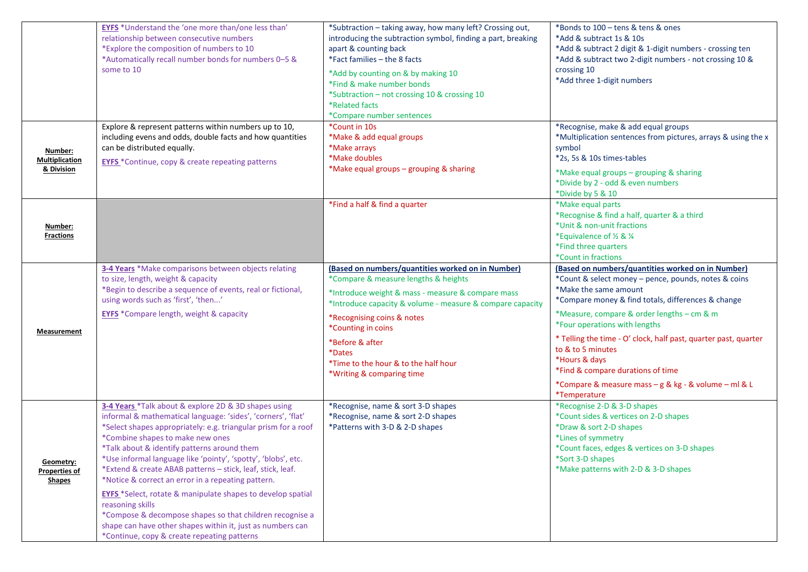|                                                    | <b>EYFS</b> *Understand the 'one more than/one less than'<br>relationship between consecutive numbers<br>*Explore the composition of numbers to 10<br>*Automatically recall number bonds for numbers 0-5 &<br>some to 10                                                                                                                                                                                                                                       | *Subtraction - taking away, how many left? Crossing out,<br>introducing the subtraction symbol, finding a part, breaking<br>apart & counting back<br>*Fact families - the 8 facts<br>*Add by counting on & by making 10<br>*Find & make number bonds<br>*Subtraction - not crossing 10 & crossing 10<br>*Related facts<br>*Compare number sentences               | *Bonds to 100 - tens & tens & ones<br>*Add & subtract 1s & 10s<br>*Add & subtract 2 digit & 1-digit numbers - crossing ten<br>*Add & subtract two 2-digit numbers - not crossing 10 &<br>crossing 10<br>*Add three 1-digit numbers                                                                                                                                                                                                                                                            |
|----------------------------------------------------|----------------------------------------------------------------------------------------------------------------------------------------------------------------------------------------------------------------------------------------------------------------------------------------------------------------------------------------------------------------------------------------------------------------------------------------------------------------|-------------------------------------------------------------------------------------------------------------------------------------------------------------------------------------------------------------------------------------------------------------------------------------------------------------------------------------------------------------------|-----------------------------------------------------------------------------------------------------------------------------------------------------------------------------------------------------------------------------------------------------------------------------------------------------------------------------------------------------------------------------------------------------------------------------------------------------------------------------------------------|
| Number:<br>Multiplication<br>& Division            | Explore & represent patterns within numbers up to 10,<br>including evens and odds, double facts and how quantities<br>can be distributed equally.<br><b>EYFS</b> *Continue, copy & create repeating patterns                                                                                                                                                                                                                                                   | *Count in 10s<br>*Make & add equal groups<br>*Make arrays<br>*Make doubles<br>*Make equal groups - grouping & sharing                                                                                                                                                                                                                                             | *Recognise, make & add equal groups<br>*Multiplication sentences from pictures, arrays & using the x<br>symbol<br>*2s, 5s & 10s times-tables<br>*Make equal groups - grouping & sharing<br>*Divide by 2 - odd & even numbers<br>*Divide by 5 & 10                                                                                                                                                                                                                                             |
| Number:<br><b>Fractions</b>                        |                                                                                                                                                                                                                                                                                                                                                                                                                                                                | *Find a half & find a quarter                                                                                                                                                                                                                                                                                                                                     | *Make equal parts<br>*Recognise & find a half, quarter & a third<br>*Unit & non-unit fractions<br>*Equivalence of 1/2 & 1/4<br>*Find three quarters<br>*Count in fractions                                                                                                                                                                                                                                                                                                                    |
| Measurement                                        | 3-4 Years *Make comparisons between objects relating<br>to size, length, weight & capacity<br>*Begin to describe a sequence of events, real or fictional,<br>using words such as 'first', 'then'<br><b>EYFS</b> *Compare length, weight & capacity                                                                                                                                                                                                             | (Based on numbers/quantities worked on in Number)<br>*Compare & measure lengths & heights<br>*Introduce weight & mass - measure & compare mass<br>*Introduce capacity & volume - measure & compare capacity<br>*Recognising coins & notes<br>*Counting in coins<br>*Before & after<br>*Dates<br>*Time to the hour & to the half hour<br>*Writing & comparing time | (Based on numbers/quantities worked on in Number)<br>*Count & select money - pence, pounds, notes & coins<br>*Make the same amount<br>*Compare money & find totals, differences & change<br>*Measure, compare & order lengths - cm & m<br>*Four operations with lengths<br>* Telling the time - O' clock, half past, quarter past, quarter<br>to & to 5 minutes<br>*Hours & days<br>*Find & compare durations of time<br>*Compare & measure mass - g & kg - & volume - ml & L<br>*Temperature |
| Geometry:<br><b>Properties of</b><br><b>Shapes</b> | 3-4 Years *Talk about & explore 2D & 3D shapes using<br>informal & mathematical language: 'sides', 'corners', 'flat'<br>*Select shapes appropriately: e.g. triangular prism for a roof<br>*Combine shapes to make new ones<br>*Talk about & identify patterns around them<br>*Use informal language like 'pointy', 'spotty', 'blobs', etc.<br>*Extend & create ABAB patterns - stick, leaf, stick, leaf.<br>*Notice & correct an error in a repeating pattern. | *Recognise, name & sort 3-D shapes<br>*Recognise, name & sort 2-D shapes<br>*Patterns with 3-D & 2-D shapes                                                                                                                                                                                                                                                       | *Recognise 2-D & 3-D shapes<br>*Count sides & vertices on 2-D shapes<br>*Draw & sort 2-D shapes<br>*Lines of symmetry<br>*Count faces, edges & vertices on 3-D shapes<br>*Sort 3-D shapes<br>*Make patterns with 2-D & 3-D shapes                                                                                                                                                                                                                                                             |
|                                                    | <b>EYFS</b> *Select, rotate & manipulate shapes to develop spatial<br>reasoning skills<br>*Compose & decompose shapes so that children recognise a<br>shape can have other shapes within it, just as numbers can<br>*Continue, copy & create repeating patterns                                                                                                                                                                                                |                                                                                                                                                                                                                                                                                                                                                                   |                                                                                                                                                                                                                                                                                                                                                                                                                                                                                               |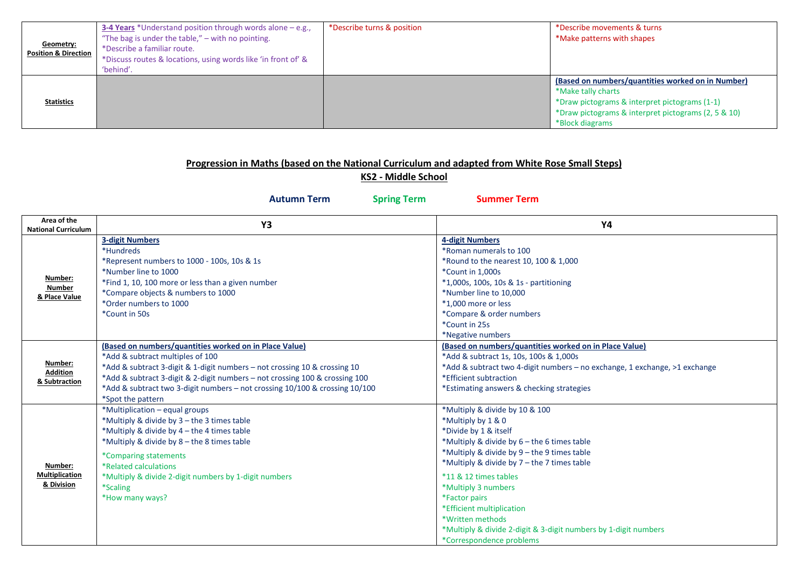| Geometry:<br><b>Position &amp; Direction</b> | 3-4 Years *Understand position through words alone $-e.g.,$<br>"The bag is under the table," $-$ with no pointing.<br>*Describe a familiar route.<br>*Discuss routes & locations, using words like 'in front of' &<br>'behind'. | *Describe turns & position | *Describe movements & turns<br>*Make patterns with shapes                                                                                                                                          |
|----------------------------------------------|---------------------------------------------------------------------------------------------------------------------------------------------------------------------------------------------------------------------------------|----------------------------|----------------------------------------------------------------------------------------------------------------------------------------------------------------------------------------------------|
| <b>Statistics</b>                            |                                                                                                                                                                                                                                 |                            | (Based on numbers/quantities worked on in Number)<br>*Make tally charts<br>*Draw pictograms & interpret pictograms (1-1)<br>*Draw pictograms & interpret pictograms (2, 5 & 10)<br>*Block diagrams |

#### **Progression in Maths (based on the National Curriculum and adapted from White Rose Small Steps)**

**KS2 - Middle School**

**Autumn Term Spring Term Summer Term**

| Area of the<br><b>National Curriculum</b>      | Y3                                                                                                                                                                                                                                                                                                                                                         | <b>Y4</b>                                                                                                                                                                                                                                                                                                                                                                                                                                                 |
|------------------------------------------------|------------------------------------------------------------------------------------------------------------------------------------------------------------------------------------------------------------------------------------------------------------------------------------------------------------------------------------------------------------|-----------------------------------------------------------------------------------------------------------------------------------------------------------------------------------------------------------------------------------------------------------------------------------------------------------------------------------------------------------------------------------------------------------------------------------------------------------|
| Number:<br><b>Number</b><br>& Place Value      | <b>3-digit Numbers</b><br>*Hundreds<br>*Represent numbers to 1000 - 100s, 10s & 1s<br>*Number line to 1000<br>*Find 1, 10, 100 more or less than a given number<br>*Compare objects & numbers to 1000<br>*Order numbers to 1000<br>*Count in 50s                                                                                                           | <b>4-digit Numbers</b><br>*Roman numerals to 100<br>*Round to the nearest 10, 100 & 1,000<br>*Count in 1,000s<br>*1,000s, 100s, 10s & 1s - partitioning<br>*Number line to 10.000<br>*1,000 more or less<br>*Compare & order numbers<br>*Count in 25s<br>*Negative numbers                                                                                                                                                                                |
| Number:<br><b>Addition</b><br>& Subtraction    | (Based on numbers/quantities worked on in Place Value)<br>*Add & subtract multiples of 100<br>*Add & subtract 3-digit & 1-digit numbers - not crossing 10 & crossing 10<br>*Add & subtract 3-digit & 2-digit numbers - not crossing 100 & crossing 100<br>*Add & subtract two 3-digit numbers - not crossing 10/100 & crossing 10/100<br>*Spot the pattern | (Based on numbers/quantities worked on in Place Value)<br>*Add & subtract 1s, 10s, 100s & 1,000s<br>*Add & subtract two 4-digit numbers - no exchange, 1 exchange, >1 exchange<br>*Efficient subtraction<br>*Estimating answers & checking strategies                                                                                                                                                                                                     |
| Number:<br><b>Multiplication</b><br>& Division | *Multiplication - equal groups<br>*Multiply & divide by 3 - the 3 times table<br>*Multiply & divide by 4 - the 4 times table<br>*Multiply & divide by 8 - the 8 times table<br>*Comparing statements<br>*Related calculations<br>*Multiply & divide 2-digit numbers by 1-digit numbers<br><i>*Scaling</i><br>*How many ways?                               | *Multiply & divide by 10 & 100<br>*Multiply by 1 & 0<br>*Divide by 1 & itself<br>*Multiply & divide by 6 - the 6 times table<br>*Multiply & divide by 9 - the 9 times table<br>*Multiply & divide by 7 - the 7 times table<br>*11 & 12 times tables<br>*Multiply 3 numbers<br><i><b>*Factor pairs</b></i><br>*Efficient multiplication<br>*Written methods<br>*Multiply & divide 2-digit & 3-digit numbers by 1-digit numbers<br>*Correspondence problems |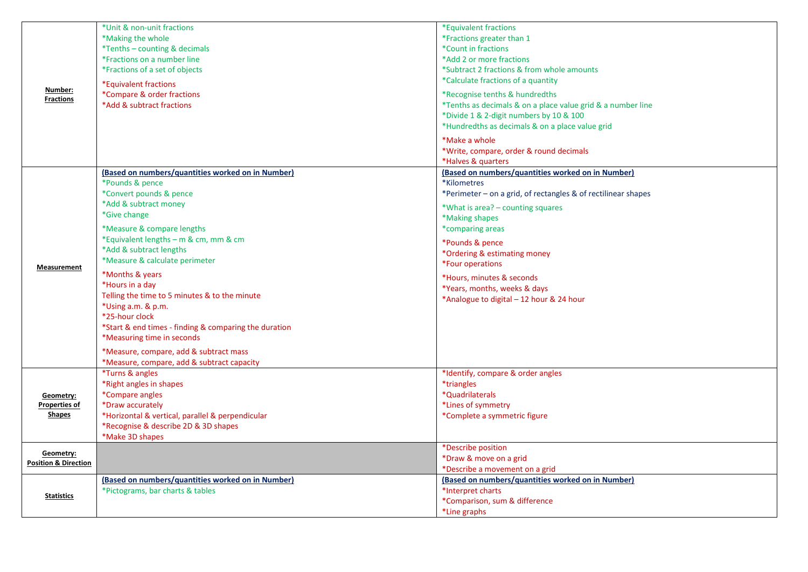|                                 | *Unit & non-unit fractions<br>*Making the whole                                          | *Equivalent fractions<br>*Fractions greater than 1                                            |
|---------------------------------|------------------------------------------------------------------------------------------|-----------------------------------------------------------------------------------------------|
|                                 | *Tenths - counting & decimals<br>*Fractions on a number line                             | *Count in fractions<br>*Add 2 or more fractions                                               |
|                                 | *Fractions of a set of objects                                                           | *Subtract 2 fractions & from whole amounts                                                    |
| Number:                         | *Equivalent fractions<br>*Compare & order fractions                                      | *Calculate fractions of a quantity                                                            |
| <b>Fractions</b>                | *Add & subtract fractions                                                                | *Recognise tenths & hundredths<br>*Tenths as decimals & on a place value grid & a number line |
|                                 |                                                                                          | *Divide 1 & 2-digit numbers by 10 & 100<br>*Hundredths as decimals & on a place value grid    |
|                                 |                                                                                          | *Make a whole                                                                                 |
|                                 |                                                                                          | *Write, compare, order & round decimals                                                       |
|                                 | (Based on numbers/quantities worked on in Number)                                        | *Halves & quarters<br>(Based on numbers/quantities worked on in Number)                       |
|                                 | *Pounds & pence                                                                          | *Kilometres                                                                                   |
|                                 | *Convert pounds & pence<br>*Add & subtract money                                         | *Perimeter – on a grid, of rectangles & of rectilinear shapes                                 |
|                                 | *Give change                                                                             | *What is area? – counting squares<br>*Making shapes                                           |
|                                 | *Measure & compare lengths                                                               | *comparing areas                                                                              |
|                                 | *Equivalent lengths - m & cm, mm & cm                                                    | *Pounds & pence                                                                               |
|                                 | *Add & subtract lengths                                                                  | *Ordering & estimating money                                                                  |
| Measurement                     | *Measure & calculate perimeter                                                           | *Four operations                                                                              |
|                                 | *Months & years<br>*Hours in a day                                                       | *Hours, minutes & seconds                                                                     |
|                                 | Telling the time to 5 minutes & to the minute                                            | *Years, months, weeks & days<br>*Analogue to digital - 12 hour & 24 hour                      |
|                                 | *Using a.m. & p.m.<br>*25-hour clock                                                     |                                                                                               |
|                                 | *Start & end times - finding & comparing the duration                                    |                                                                                               |
|                                 | *Measuring time in seconds                                                               |                                                                                               |
|                                 | *Measure, compare, add & subtract mass                                                   |                                                                                               |
|                                 | *Measure, compare, add & subtract capacity<br><i>*Turns &amp; angles</i>                 | *Identify, compare & order angles                                                             |
|                                 | *Right angles in shapes                                                                  | *triangles                                                                                    |
| Geometry:                       | *Compare angles                                                                          | *Quadrilaterals                                                                               |
| <b>Properties of</b>            | *Draw accurately                                                                         | *Lines of symmetry                                                                            |
| <b>Shapes</b>                   | *Horizontal & vertical, parallel & perpendicular<br>*Recognise & describe 2D & 3D shapes | *Complete a symmetric figure                                                                  |
|                                 | *Make 3D shapes                                                                          |                                                                                               |
| Geometry:                       |                                                                                          | *Describe position                                                                            |
| <b>Position &amp; Direction</b> |                                                                                          | *Draw & move on a grid<br>*Describe a movement on a grid                                      |
|                                 | (Based on numbers/quantities worked on in Number)                                        | (Based on numbers/quantities worked on in Number)                                             |
| <b>Statistics</b>               | *Pictograms, bar charts & tables                                                         | *Interpret charts                                                                             |
|                                 |                                                                                          | *Comparison, sum & difference                                                                 |
|                                 |                                                                                          | *Line graphs                                                                                  |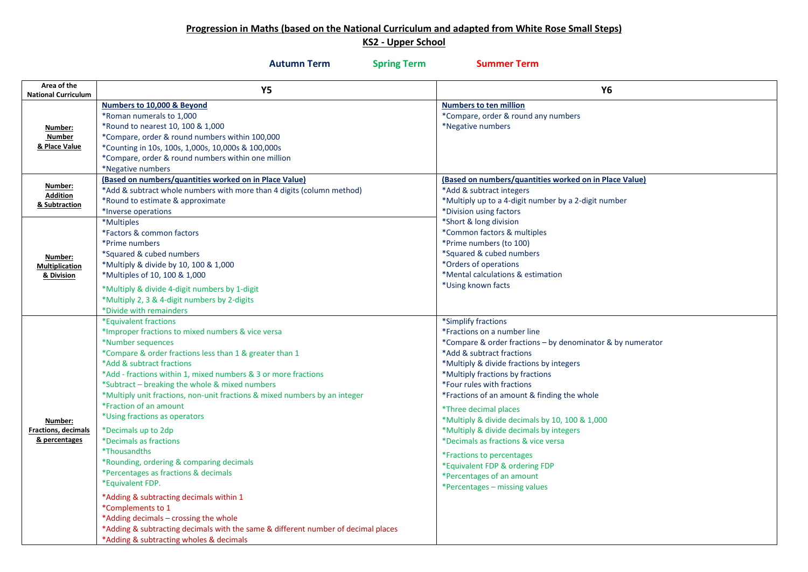#### **Progression in Maths (based on the National Curriculum and adapted from White Rose Small Steps)**

## **KS2 - Upper School**

|                                                        | <b>Autumn Term</b><br><b>Spring Term</b>                                                                                                                                                                                                                                                                                                                                                                                                                                                                                                                                                                                                                                                                                                                                                                                                                                             | <b>Summer Term</b>                                                                                                                                                                                                                                                                                                                                                                                                                                                                                                                                                                                   |
|--------------------------------------------------------|--------------------------------------------------------------------------------------------------------------------------------------------------------------------------------------------------------------------------------------------------------------------------------------------------------------------------------------------------------------------------------------------------------------------------------------------------------------------------------------------------------------------------------------------------------------------------------------------------------------------------------------------------------------------------------------------------------------------------------------------------------------------------------------------------------------------------------------------------------------------------------------|------------------------------------------------------------------------------------------------------------------------------------------------------------------------------------------------------------------------------------------------------------------------------------------------------------------------------------------------------------------------------------------------------------------------------------------------------------------------------------------------------------------------------------------------------------------------------------------------------|
| Area of the<br><b>National Curriculum</b>              | <b>Y5</b>                                                                                                                                                                                                                                                                                                                                                                                                                                                                                                                                                                                                                                                                                                                                                                                                                                                                            | <b>Y6</b>                                                                                                                                                                                                                                                                                                                                                                                                                                                                                                                                                                                            |
| Number:<br><b>Number</b><br>& Place Value              | Numbers to 10,000 & Beyond<br>*Roman numerals to 1,000<br>*Round to nearest 10, 100 & 1,000<br>*Compare, order & round numbers within 100,000<br>*Counting in 10s, 100s, 1,000s, 10,000s & 100,000s<br>*Compare, order & round numbers within one million<br>*Negative numbers                                                                                                                                                                                                                                                                                                                                                                                                                                                                                                                                                                                                       | <b>Numbers to ten million</b><br>*Compare, order & round any numbers<br>*Negative numbers                                                                                                                                                                                                                                                                                                                                                                                                                                                                                                            |
| Number:<br><b>Addition</b><br>& Subtraction            | (Based on numbers/quantities worked on in Place Value)<br>*Add & subtract whole numbers with more than 4 digits (column method)<br>*Round to estimate & approximate<br>*Inverse operations<br>*Multiples<br>*Factors & common factors                                                                                                                                                                                                                                                                                                                                                                                                                                                                                                                                                                                                                                                | (Based on numbers/quantities worked on in Place Value)<br>*Add & subtract integers<br>*Multiply up to a 4-digit number by a 2-digit number<br>*Division using factors<br>*Short & long division<br>*Common factors & multiples                                                                                                                                                                                                                                                                                                                                                                       |
| Number:<br><b>Multiplication</b><br>& Division         | *Prime numbers<br>*Squared & cubed numbers<br>*Multiply & divide by 10, 100 & 1,000<br>*Multiples of 10, 100 & 1,000<br>*Multiply & divide 4-digit numbers by 1-digit<br>*Multiply 2, 3 & 4-digit numbers by 2-digits<br>*Divide with remainders                                                                                                                                                                                                                                                                                                                                                                                                                                                                                                                                                                                                                                     | *Prime numbers (to 100)<br>*Squared & cubed numbers<br>*Orders of operations<br>*Mental calculations & estimation<br>*Using known facts                                                                                                                                                                                                                                                                                                                                                                                                                                                              |
| Number:<br><b>Fractions, decimals</b><br>& percentages | *Equivalent fractions<br>*Improper fractions to mixed numbers & vice versa<br>*Number sequences<br>*Compare & order fractions less than 1 & greater than 1<br>*Add & subtract fractions<br>*Add - fractions within 1, mixed numbers & 3 or more fractions<br>*Subtract - breaking the whole & mixed numbers<br>*Multiply unit fractions, non-unit fractions & mixed numbers by an integer<br>*Fraction of an amount<br>*Using fractions as operators<br>*Decimals up to 2dp<br>*Decimals as fractions<br><i><b>*Thousandths</b></i><br>*Rounding, ordering & comparing decimals<br>*Percentages as fractions & decimals<br>*Equivalent FDP.<br>*Adding & subtracting decimals within 1<br>*Complements to 1<br>*Adding decimals - crossing the whole<br>*Adding & subtracting decimals with the same & different number of decimal places<br>*Adding & subtracting wholes & decimals | *Simplify fractions<br>*Fractions on a number line<br>*Compare & order fractions - by denominator & by numerator<br>*Add & subtract fractions<br>*Multiply & divide fractions by integers<br>*Multiply fractions by fractions<br>*Four rules with fractions<br>*Fractions of an amount & finding the whole<br>*Three decimal places<br>*Multiply & divide decimals by 10, 100 & 1,000<br>*Multiply & divide decimals by integers<br>*Decimals as fractions & vice versa<br>*Fractions to percentages<br>*Equivalent FDP & ordering FDP<br>*Percentages of an amount<br>*Percentages – missing values |